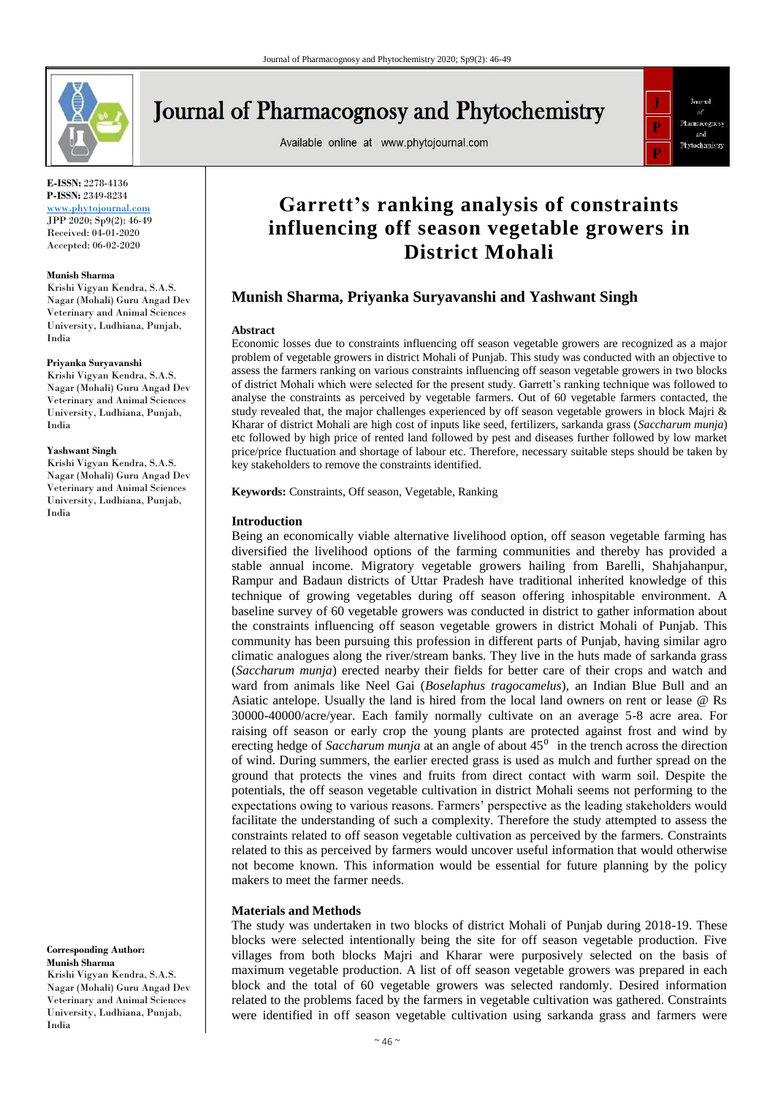

# **Journal of Pharmacognosy and Phytochemistry**

Available online at www.phytojournal.com



**E-ISSN:** 2278-4136 **P-ISSN:** 2349-8234

<www.phytojournal.com> JPP 2020; Sp9(2): 46-49 Received: 04-01-2020 Accepted: 06-02-2020

#### **Munish Sharma**

Krishi Vigyan Kendra, S.A.S. Nagar (Mohali) Guru Angad Dev Veterinary and Animal Sciences University, Ludhiana, Punjab, India

#### **Priyanka Suryavanshi**

Krishi Vigyan Kendra, S.A.S. Nagar (Mohali) Guru Angad Dev Veterinary and Animal Sciences University, Ludhiana, Punjab, India

#### **Yashwant Singh**

Krishi Vigyan Kendra, S.A.S. Nagar (Mohali) Guru Angad Dev Veterinary and Animal Sciences University, Ludhiana, Punjab, India

**Corresponding Author: Munish Sharma** Krishi Vigyan Kendra, S.A.S. Nagar (Mohali) Guru Angad Dev

Veterinary and Animal Sciences University, Ludhiana, Punjab, India

# **Garrett's ranking analysis of constraints influencing off season vegetable growers in District Mohali**

# **Munish Sharma, Priyanka Suryavanshi and Yashwant Singh**

#### **Abstract**

Economic losses due to constraints influencing off season vegetable growers are recognized as a major problem of vegetable growers in district Mohali of Punjab. This study was conducted with an objective to assess the farmers ranking on various constraints influencing off season vegetable growers in two blocks of district Mohali which were selected for the present study. Garrett's ranking technique was followed to analyse the constraints as perceived by vegetable farmers. Out of 60 vegetable farmers contacted, the study revealed that, the major challenges experienced by off season vegetable growers in block Majri & Kharar of district Mohali are high cost of inputs like seed, fertilizers, sarkanda grass (*Saccharum munja*) etc followed by high price of rented land followed by pest and diseases further followed by low market price/price fluctuation and shortage of labour etc. Therefore, necessary suitable steps should be taken by key stakeholders to remove the constraints identified.

**Keywords:** Constraints, Off season, Vegetable, Ranking

#### **Introduction**

Being an economically viable alternative livelihood option, off season vegetable farming has diversified the livelihood options of the farming communities and thereby has provided a stable annual income. Migratory vegetable growers hailing from Barelli, Shahjahanpur, Rampur and Badaun districts of Uttar Pradesh have traditional inherited knowledge of this technique of growing vegetables during off season offering inhospitable environment. A baseline survey of 60 vegetable growers was conducted in district to gather information about the constraints influencing off season vegetable growers in district Mohali of Punjab. This community has been pursuing this profession in different parts of Punjab, having similar agro climatic analogues along the river/stream banks. They live in the huts made of sarkanda grass (*Saccharum munja*) erected nearby their fields for better care of their crops and watch and ward from animals like Neel Gai (*Boselaphus tragocamelus*), an Indian Blue Bull and an Asiatic antelope. Usually the land is hired from the local land owners on rent or lease @ Rs 30000-40000/acre/year. Each family normally cultivate on an average 5-8 acre area. For raising off season or early crop the young plants are protected against frost and wind by erecting hedge of *Saccharum munja* at an angle of about 45<sup>0</sup> in the trench across the direction of wind. During summers, the earlier erected grass is used as mulch and further spread on the ground that protects the vines and fruits from direct contact with warm soil. Despite the potentials, the off season vegetable cultivation in district Mohali seems not performing to the expectations owing to various reasons. Farmers' perspective as the leading stakeholders would facilitate the understanding of such a complexity. Therefore the study attempted to assess the constraints related to off season vegetable cultivation as perceived by the farmers. Constraints related to this as perceived by farmers would uncover useful information that would otherwise not become known. This information would be essential for future planning by the policy makers to meet the farmer needs.

#### **Materials and Methods**

The study was undertaken in two blocks of district Mohali of Punjab during 2018-19. These blocks were selected intentionally being the site for off season vegetable production. Five villages from both blocks Majri and Kharar were purposively selected on the basis of maximum vegetable production. A list of off season vegetable growers was prepared in each block and the total of 60 vegetable growers was selected randomly. Desired information related to the problems faced by the farmers in vegetable cultivation was gathered. Constraints were identified in off season vegetable cultivation using sarkanda grass and farmers were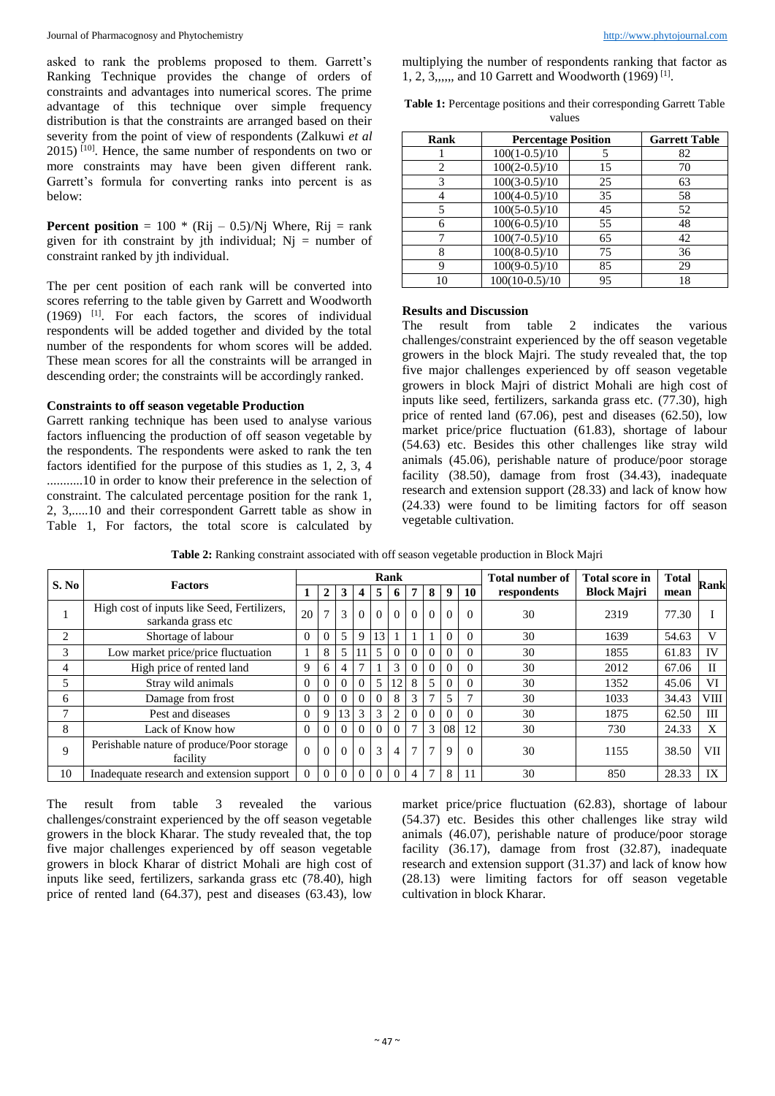asked to rank the problems proposed to them. Garrett's Ranking Technique provides the change of orders of constraints and advantages into numerical scores. The prime advantage of this technique over simple frequency distribution is that the constraints are arranged based on their severity from the point of view of respondents (Zalkuwi *et al* 2015) [10]. Hence, the same number of respondents on two or more constraints may have been given different rank. Garrett's formula for converting ranks into percent is as below:

**Percent position** = 100  $*$  (Rij – 0.5)/Nj Where, Rij = rank given for ith constraint by ith individual;  $Ni = number of$ constraint ranked by jth individual.

The per cent position of each rank will be converted into scores referring to the table given by Garrett and Woodworth (1969) [1] . For each factors, the scores of individual respondents will be added together and divided by the total number of the respondents for whom scores will be added. These mean scores for all the constraints will be arranged in descending order; the constraints will be accordingly ranked.

### **Constraints to off season vegetable Production**

Garrett ranking technique has been used to analyse various factors influencing the production of off season vegetable by the respondents. The respondents were asked to rank the ten factors identified for the purpose of this studies as 1, 2, 3, 4 ...........10 in order to know their preference in the selection of constraint. The calculated percentage position for the rank 1, 2, 3,.....10 and their correspondent Garrett table as show in Table 1, For factors, the total score is calculated by multiplying the number of respondents ranking that factor as 1, 2, 3,,,,,, and 10 Garrett and Woodworth (1969) [1] .

| Rank | <b>Percentage Position</b> |    | <b>Garrett Table</b> |  |  |  |  |
|------|----------------------------|----|----------------------|--|--|--|--|
|      | $100(1-0.5)/10$            | 5  | 82                   |  |  |  |  |
| 2    | $100(2-0.5)/10$            | 15 | 70                   |  |  |  |  |
| 3    | $100(3-0.5)/10$            | 25 | 63                   |  |  |  |  |
|      | $100(4-0.5)/10$            | 35 | 58                   |  |  |  |  |
| 5    | $100(5-0.5)/10$            | 45 | 52                   |  |  |  |  |
| 6    | $100(6-0.5)/10$            | 55 | 48                   |  |  |  |  |
|      | $100(7-0.5)/10$            | 65 | 42                   |  |  |  |  |
| 8    | $100(8-0.5)/10$            | 75 | 36                   |  |  |  |  |
| 9    | $100(9-0.5)/10$            | 85 | 29                   |  |  |  |  |
| 10   | $100(10-0.5)/10$           | 95 | 18                   |  |  |  |  |

| Table 1: Percentage positions and their corresponding Garrett Table |  |
|---------------------------------------------------------------------|--|
| values                                                              |  |

## **Results and Discussion**

The result from table 2 indicates the various challenges/constraint experienced by the off season vegetable growers in the block Majri. The study revealed that, the top five major challenges experienced by off season vegetable growers in block Majri of district Mohali are high cost of inputs like seed, fertilizers, sarkanda grass etc. (77.30), high price of rented land (67.06), pest and diseases (62.50), low market price/price fluctuation (61.83), shortage of labour (54.63) etc. Besides this other challenges like stray wild animals (45.06), perishable nature of produce/poor storage facility (38.50), damage from frost (34.43), inadequate research and extension support (28.33) and lack of know how (24.33) were found to be limiting factors for off season vegetable cultivation.

|       |                                                                   |  |               |          |          |          | Rank           |          |                |             |          | <b>Total number of</b> | Total score in     | <b>Total</b> |             |
|-------|-------------------------------------------------------------------|--|---------------|----------|----------|----------|----------------|----------|----------------|-------------|----------|------------------------|--------------------|--------------|-------------|
| S. No | <b>Factors</b>                                                    |  | 2             | 3        |          | 5        | 6              | 7        | 8              | 9           | 10       | respondents            | <b>Block Majri</b> | mean         | <b>Rank</b> |
|       | High cost of inputs like Seed, Fertilizers,<br>sarkanda grass etc |  | $\mathcal{I}$ | 3        | 0        | $\Omega$ | $\Omega$       | $\theta$ | $\theta$       | $\Omega$    | $\Omega$ | 30                     | 2319               | 77.30        |             |
| 2     | Shortage of labour                                                |  |               | 5        | Q        | 13       |                |          |                | $\Omega$    | $\Omega$ | 30                     | 1639               | 54.63        | v           |
| 3     | Low market price/price fluctuation                                |  | 8             | 5        |          | 5        | $\Omega$       | $\Omega$ | $\Omega$       | $\Omega$    | $\Omega$ | 30                     | 1855               | 61.83        | IV          |
| 4     | High price of rented land                                         |  | 6             |          |          |          | 3              | $\Omega$ | $\theta$       |             |          | 30                     | 2012               | 67.06        | H           |
|       | Stray wild animals                                                |  |               | $\Omega$ | 0        | 5        | 12             | 8        | 5              | $\theta$    |          | 30                     | 1352               | 45.06        | VI          |
| 6     | Damage from frost                                                 |  |               | 0        | 0        | $\Omega$ | 8              | 3        | 7              |             |          | 30                     | 1033               | 34.43        | VIII        |
| ┑     | Pest and diseases                                                 |  | 9             | 13       | 3        | 3        | $\overline{c}$ | $\Omega$ | $\Omega$       | $\Omega$    |          | 30                     | 1875               | 62.50        | Ш           |
| 8     | Lack of Know how                                                  |  |               | 0        | 0        | $\Omega$ | $\Omega$       | 7        | 3              | 08          | 12       | 30                     | 730                | 24.33        | X           |
| 9     | Perishable nature of produce/Poor storage<br>facility             |  | $\Omega$      | $\Omega$ | 0        | 3        | 4              | 7        | $\overline{7}$ | $\mathbf Q$ | $\Omega$ | 30                     | 1155               | 38.50        | VII         |
| 10    | Inadequate research and extension support                         |  | $\theta$      | $\Omega$ | $\Omega$ | $\Omega$ | $\Omega$       | 4        | 7              | 8           |          | 30                     | 850                | 28.33        | IX          |

**Table 2:** Ranking constraint associated with off season vegetable production in Block Majri

The result from table 3 revealed the various challenges/constraint experienced by the off season vegetable growers in the block Kharar. The study revealed that, the top five major challenges experienced by off season vegetable growers in block Kharar of district Mohali are high cost of inputs like seed, fertilizers, sarkanda grass etc (78.40), high price of rented land (64.37), pest and diseases (63.43), low

market price/price fluctuation (62.83), shortage of labour (54.37) etc. Besides this other challenges like stray wild animals (46.07), perishable nature of produce/poor storage facility (36.17), damage from frost (32.87), inadequate research and extension support (31.37) and lack of know how (28.13) were limiting factors for off season vegetable cultivation in block Kharar.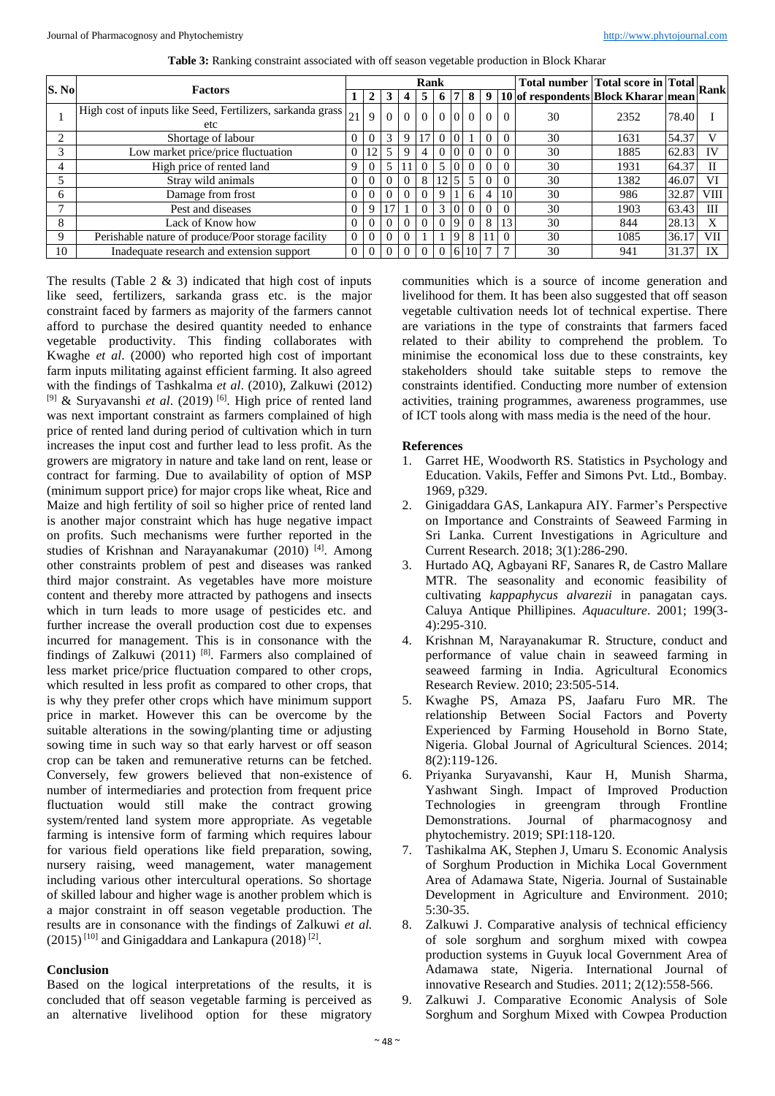|       |                                                                           |   |          |          |          | Rank     |              |                |                 |                       |                | $\sqrt{\text{Total number}  \text{Total score in}  \text{Total}  \text{Rank} }$ |      |       |      |
|-------|---------------------------------------------------------------------------|---|----------|----------|----------|----------|--------------|----------------|-----------------|-----------------------|----------------|---------------------------------------------------------------------------------|------|-------|------|
| S. No | <b>Factors</b>                                                            |   |          |          |          | 5        | <sup>0</sup> |                | 8 I             | 9                     |                | [10] of respondents Block Kharar   mean                                         |      |       |      |
|       | High cost of inputs like Seed, Fertilizers, sarkanda grass $_{21}$<br>etc |   | 9        | $\Omega$ | $\Omega$ | $\Omega$ |              |                |                 | $0\quad0\quad0\quad0$ | $\theta$       | 30                                                                              | 2352 | 78.40 |      |
| ◠     | Shortage of labour                                                        |   |          | 3        | 9        | 17       | $\Omega$     | $\Omega$       |                 |                       | $\Omega$       | 30                                                                              | 1631 | 54.37 |      |
|       | Low market price/price fluctuation                                        |   | 12       | 5        | Q        | 4        |              |                |                 |                       | $\Omega$       | 30                                                                              | 1885 | 62.83 | IV   |
|       | High price of rented land                                                 | 9 |          |          |          |          |              |                |                 |                       |                | 30                                                                              | 1931 | 64.37 |      |
|       | Stray wild animals                                                        | 0 |          |          |          | 8        | 12           | $\overline{5}$ | $5^{\circ}$     |                       | $\Omega$       | 30                                                                              | 1382 | 46.07 | VI   |
| 6     | Damage from frost                                                         | 0 | $\Omega$ |          |          |          | 9            |                | 6               |                       | 10             | 30                                                                              | 986  | 32.87 | VIII |
|       | Pest and diseases                                                         | 0 | Q        |          |          |          | 3            |                |                 |                       | $\Omega$       | 30                                                                              | 1903 | 63.43 | Ш    |
| 8     | Lack of Know how                                                          | 0 |          |          |          |          | $\Omega$     | 19             | $\Omega$        | 8                     | 13             | 30                                                                              | 844  | 28.13 | X    |
| 9     | Perishable nature of produce/Poor storage facility                        | 0 | $\Omega$ |          |          |          |              | 19             | 8               |                       | $\Omega$       | 30                                                                              | 1085 | 36.17 | VII  |
| 10    | Inadequate research and extension support                                 | 0 |          |          |          |          | $\theta$     | 6 <sup>1</sup> | 10 <sup>1</sup> |                       | $\overline{ }$ | 30                                                                              | 941  | 31.37 | IX   |

**Table 3:** Ranking constraint associated with off season vegetable production in Block Kharar

The results (Table 2  $\&$  3) indicated that high cost of inputs like seed, fertilizers, sarkanda grass etc. is the major constraint faced by farmers as majority of the farmers cannot afford to purchase the desired quantity needed to enhance vegetable productivity. This finding collaborates with Kwaghe *et al*. (2000) who reported high cost of important farm inputs militating against efficient farming. It also agreed with the findings of Tashkalma *et al*. (2010), Zalkuwi (2012) [9] & Suryavanshi *et al*. (2019) [6] . High price of rented land was next important constraint as farmers complained of high price of rented land during period of cultivation which in turn increases the input cost and further lead to less profit. As the growers are migratory in nature and take land on rent, lease or contract for farming. Due to availability of option of MSP (minimum support price) for major crops like wheat, Rice and Maize and high fertility of soil so higher price of rented land is another major constraint which has huge negative impact on profits. Such mechanisms were further reported in the studies of Krishnan and Narayanakumar (2010)<sup>[4]</sup>. Among other constraints problem of pest and diseases was ranked third major constraint. As vegetables have more moisture content and thereby more attracted by pathogens and insects which in turn leads to more usage of pesticides etc. and further increase the overall production cost due to expenses incurred for management. This is in consonance with the findings of Zalkuwi  $(2011)$ <sup>[8]</sup>. Farmers also complained of less market price/price fluctuation compared to other crops, which resulted in less profit as compared to other crops, that is why they prefer other crops which have minimum support price in market. However this can be overcome by the suitable alterations in the sowing/planting time or adjusting sowing time in such way so that early harvest or off season crop can be taken and remunerative returns can be fetched. Conversely, few growers believed that non-existence of number of intermediaries and protection from frequent price fluctuation would still make the contract growing system/rented land system more appropriate. As vegetable farming is intensive form of farming which requires labour for various field operations like field preparation, sowing, nursery raising, weed management, water management including various other intercultural operations. So shortage of skilled labour and higher wage is another problem which is a major constraint in off season vegetable production. The results are in consonance with the findings of Zalkuwi *et al.*  $(2015)^{[10]}$  and Ginigaddara and Lankapura  $(2018)^{[2]}$ .

# **Conclusion**

Based on the logical interpretations of the results, it is concluded that off season vegetable farming is perceived as an alternative livelihood option for these migratory

communities which is a source of income generation and livelihood for them. It has been also suggested that off season vegetable cultivation needs lot of technical expertise. There are variations in the type of constraints that farmers faced related to their ability to comprehend the problem. To minimise the economical loss due to these constraints, key stakeholders should take suitable steps to remove the constraints identified. Conducting more number of extension activities, training programmes, awareness programmes, use of ICT tools along with mass media is the need of the hour.

# **References**

- 1. Garret HE, Woodworth RS. Statistics in Psychology and Education. Vakils, Feffer and Simons Pvt. Ltd., Bombay. 1969, p329.
- 2. Ginigaddara GAS, Lankapura AIY. Farmer's Perspective on Importance and Constraints of Seaweed Farming in Sri Lanka. Current Investigations in Agriculture and Current Research. 2018; 3(1):286-290.
- 3. Hurtado AQ, Agbayani RF, Sanares R, de Castro Mallare MTR. The seasonality and economic feasibility of cultivating *kappaphycus alvarezii* in panagatan cays. Caluya Antique Phillipines. *Aquaculture*. 2001; 199(3- 4):295-310.
- 4. Krishnan M, Narayanakumar R. Structure, conduct and performance of value chain in seaweed farming in seaweed farming in India. Agricultural Economics Research Review. 2010; 23:505-514.
- 5. Kwaghe PS, Amaza PS, Jaafaru Furo MR. The relationship Between Social Factors and Poverty Experienced by Farming Household in Borno State, Nigeria. Global Journal of Agricultural Sciences. 2014; 8(2):119-126.
- 6. Priyanka Suryavanshi, Kaur H, Munish Sharma, Yashwant Singh. Impact of Improved Production Technologies in greengram through Frontline Demonstrations. Journal of pharmacognosy and phytochemistry. 2019; SPI:118-120.
- 7. Tashikalma AK, Stephen J, Umaru S. Economic Analysis of Sorghum Production in Michika Local Government Area of Adamawa State, Nigeria. Journal of Sustainable Development in Agriculture and Environment. 2010; 5:30-35.
- 8. Zalkuwi J. Comparative analysis of technical efficiency of sole sorghum and sorghum mixed with cowpea production systems in Guyuk local Government Area of Adamawa state, Nigeria. International Journal of innovative Research and Studies. 2011; 2(12):558-566.
- 9. Zalkuwi J. Comparative Economic Analysis of Sole Sorghum and Sorghum Mixed with Cowpea Production